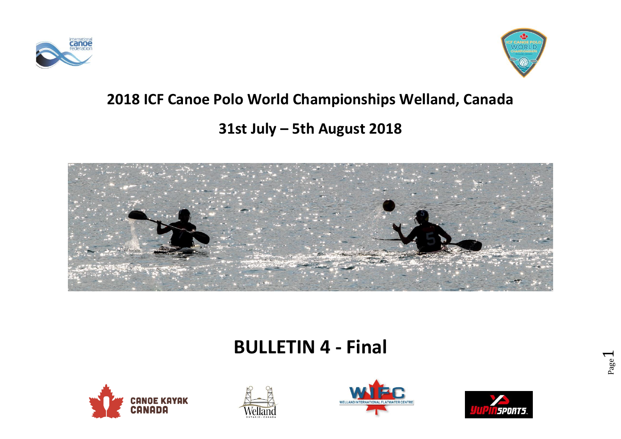



## **2018 ICF Canoe Polo World Championships Welland, Canada**

# **31st July – 5th August 2018**



# **BULLETIN 4 - Final**







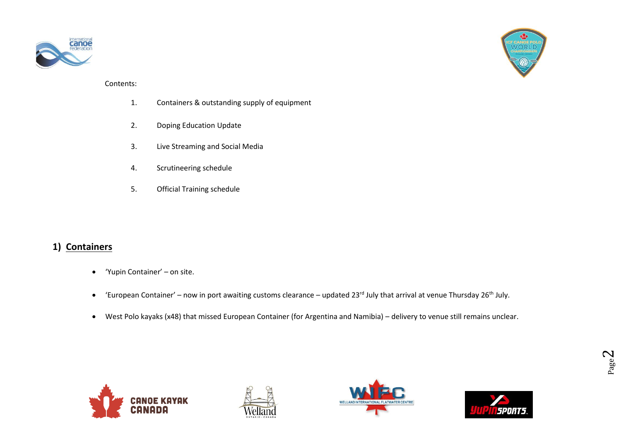



#### Contents:

- 1. Containers & outstanding supply of equipment
- 2. Doping Education Update
- 3. Live Streaming and Social Media
- 4. Scrutineering schedule
- 5. Official Training schedule

#### **1) Containers**

- 'Yupin Container' on site.
- 'European Container' now in port awaiting customs clearance updated 23<sup>rd</sup> July that arrival at venue Thursday 26<sup>th</sup> July.
- West Polo kayaks (x48) that missed European Container (for Argentina and Namibia) delivery to venue still remains unclear.







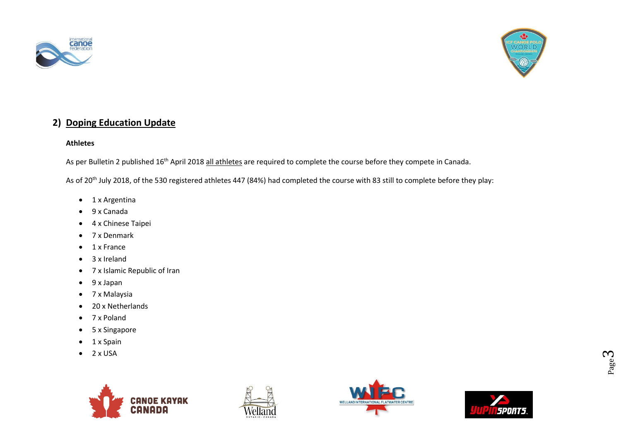



### **2) Doping Education Update**

#### **Athletes**

As per Bulletin 2 published 16<sup>th</sup> April 2018 all athletes are required to complete the course before they compete in Canada.

As of 20<sup>th</sup> July 2018, of the 530 registered athletes 447 (84%) had completed the course with 83 still to complete before they play:

- 1 x Argentina
- 9 x Canada
- 4 x Chinese Taipei
- 7 x Denmark
- 1 x France
- 3 x Ireland
- 7 x Islamic Republic of Iran
- 9 x Japan
- 7 x Malaysia
- 20 x Netherlands
- 7 x Poland
- 5 x Singapore
- 1 x Spain
- $\bullet$  2 x USA







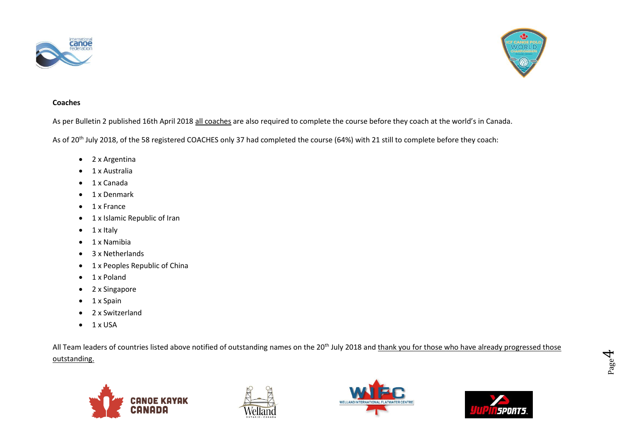



#### **Coaches**

As per Bulletin 2 published 16th April 2018 all coaches are also required to complete the course before they coach at the world's in Canada.

As of 20<sup>th</sup> July 2018, of the 58 registered COACHES only 37 had completed the course (64%) with 21 still to complete before they coach:

- 2 x Argentina
- 1 x Australia
- 1 x Canada
- 1 x Denmark
- 1 x France
- 1 x Islamic Republic of Iran
- 1 x Italy
- 1 x Namibia
- 3 x Netherlands
- 1 x Peoples Republic of China
- 1 x Poland
- 2 x Singapore
- 1 x Spain
- 2 x Switzerland
- $\bullet$  1 x USA

All Team leaders of countries listed above notified of outstanding names on the 20<sup>th</sup> July 2018 and thank you for those who have already progressed those outstanding.







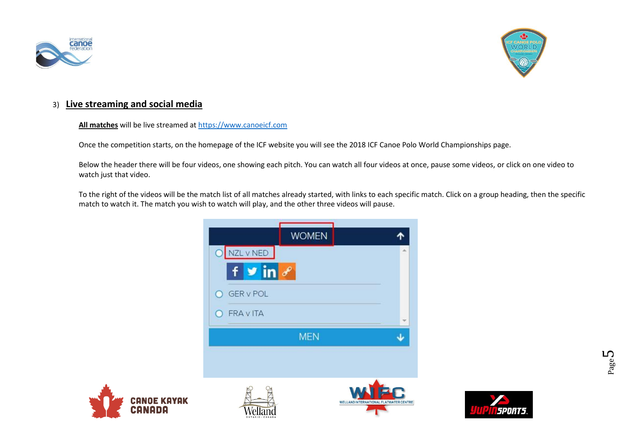



#### 3) **Live streaming and social media**

#### **All matches** will be live streamed a[t https://www.canoeicf.com](https://www.canoeicf.com/)

Once the competition starts, on the homepage of the ICF website you will see the 2018 ICF Canoe Polo World Championships page.

Below the header there will be four videos, one showing each pitch. You can watch all four videos at once, pause some videos, or click on one video to watch just that video.

To the right of the videos will be the match list of all matches already started, with links to each specific match. Click on a group heading, then the specific match to watch it. The match you wish to watch will play, and the other three videos will pause.







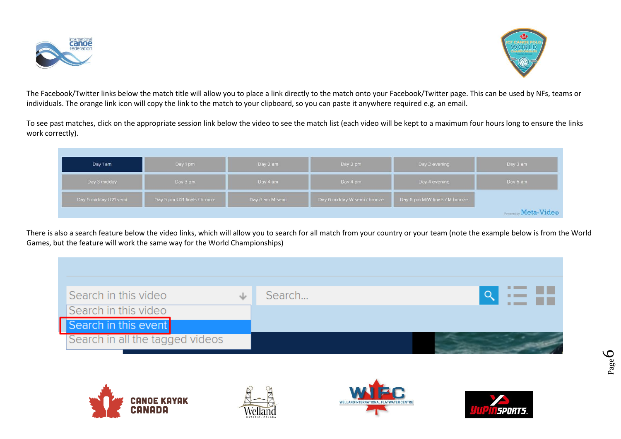



The Facebook/Twitter links below the match title will allow you to place a link directly to the match onto your Facebook/Twitter page. This can be used by NFs, teams or individuals. The orange link icon will copy the link to the match to your clipboard, so you can paste it anywhere required e.g. an email.

To see past matches, click on the appropriate session link below the video to see the match list (each video will be kept to a maximum four hours long to ensure the links work correctly).

| Day 1 am                                              | Day 1 pm | Day 2 am        | Day 2 pm                     | Day 2 evening                  | Day 3 am                     |
|-------------------------------------------------------|----------|-----------------|------------------------------|--------------------------------|------------------------------|
| Day 3 midday                                          | Day 3 pm |                 | Day 4 pm                     | Day 4 evening                  | Day 5 am                     |
| Day 5 pm U21 finals / bronze<br>Day 5 midday U21 semi |          | Day 6 am M semi | Day 6 midday W semi / bronze | Day 6 pm M/W finals / M bronze |                              |
|                                                       |          |                 |                              |                                | <b>Powered by Meta-Video</b> |

There is also a search feature below the video links, which will allow you to search for all match from your country or your team (note the example below is from the World Games, but the feature will work the same way for the World Championships)

| Search in this video            | Search |  |
|---------------------------------|--------|--|
| Search in this video            |        |  |
| Search in this event            |        |  |
| Search in all the tagged videos |        |  |







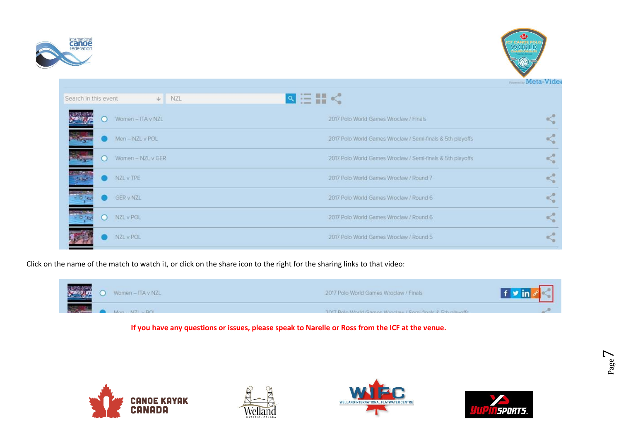



**Meta-Video** 

| Search in this event. |        | NZL<br>$\psi$     | $\mathbb{R} \equiv \mathbb{H} < 1$                         |  |
|-----------------------|--------|-------------------|------------------------------------------------------------|--|
|                       | o      | Women - ITA v NZL | 2017 Polo World Games Wroclaw / Finals                     |  |
|                       |        | Men-NZL v POL     | 2017 Polo World Games Wroclaw / Semi-finals & 5th playoffs |  |
|                       | 8      | Women - NZL v GER | 2017 Polo World Games Wroclaw / Semi-finals & 5th playoffs |  |
|                       |        | NZL v TPE         | 2017 Polo World Games Wroclaw / Round 7                    |  |
|                       |        | <b>GER v NZL</b>  | 2017 Polo World Games Wrocław / Round 6                    |  |
|                       | $\cup$ | NZL v POL         | 2017 Polo World Games Wroclaw / Round 6                    |  |
|                       |        | NZL v POL         | 2017 Polo World Games Wroclaw / Round 5                    |  |

Click on the name of the match to watch it, or click on the share icon to the right for the sharing links to that video:

l



**If you have any questions or issues, please speak to Narelle or Ross from the ICF at the venue.**







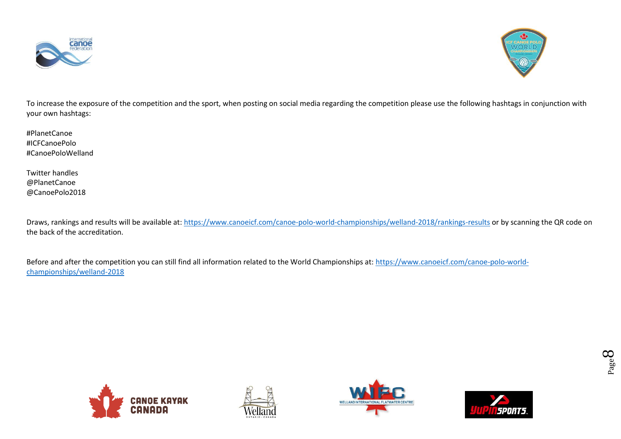



To increase the exposure of the competition and the sport, when posting on social media regarding the competition please use the following hashtags in conjunction with your own hashtags:

#PlanetCanoe #ICFCanoePolo #CanoePoloWelland

Twitter handles @PlanetCanoe @CanoePolo2018

Draws, rankings and results will be available at:<https://www.canoeicf.com/canoe-polo-world-championships/welland-2018/rankings-results> or by scanning the QR code on the back of the accreditation.

Before and after the competition you can still find all information related to the World Championships at: [https://www.canoeicf.com/canoe-polo-world](https://www.canoeicf.com/canoe-polo-world-championships/welland-2018)[championships/welland-2018](https://www.canoeicf.com/canoe-polo-world-championships/welland-2018)







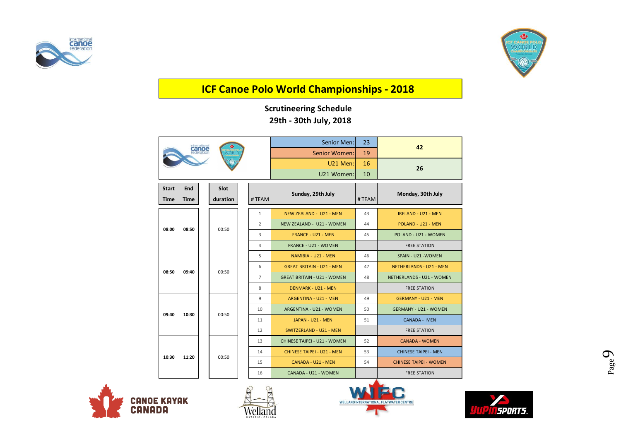



## **ICF Canoe Polo World Championships - 2018**

## **Scrutineering Schedule 29th - 30th July, 2018**

|              |             |  |          |       |                | Senior Men:                        | 23                                | 42                            |                                |    |                         |    |                              |
|--------------|-------------|--|----------|-------|----------------|------------------------------------|-----------------------------------|-------------------------------|--------------------------------|----|-------------------------|----|------------------------------|
|              |             |  | /ORLE    |       |                | Senior Women:                      | 19                                |                               |                                |    |                         |    |                              |
|              |             |  |          |       |                | U21 Men:                           | 16                                | 26                            |                                |    |                         |    |                              |
|              |             |  |          |       |                | U21 Women:                         | 10                                |                               |                                |    |                         |    |                              |
| <b>Start</b> | End         |  | Slot     |       |                |                                    |                                   |                               |                                |    |                         |    |                              |
| <b>Time</b>  | <b>Time</b> |  | duration |       | #TEAM          | Sunday, 29th July<br>#TEAM         |                                   | Monday, 30th July             |                                |    |                         |    |                              |
|              |             |  |          |       |                |                                    |                                   |                               |                                |    |                         |    |                              |
|              |             |  |          |       | $\mathbf{1}$   | NEW ZEALAND - U21 - MEN            | 43                                | <b>IRELAND - U21 - MEN</b>    |                                |    |                         |    |                              |
| 08:00        | 08:50       |  |          | 00:50 |                | $\overline{2}$                     | NEW ZEALAND - U21 - WOMEN         | 44                            | POLAND - U21 - MEN             |    |                         |    |                              |
|              |             |  |          |       |                | 3                                  | <b>FRANCE - U21 - MEN</b>         | 45                            | POLAND - U21 - WOMEN           |    |                         |    |                              |
|              |             |  |          |       | $\overline{4}$ | <b>FRANCE - U21 - WOMEN</b>        |                                   | <b>FREE STATION</b>           |                                |    |                         |    |                              |
|              |             |  | 00:50    |       |                | 5                                  | NAMIBIA - U21 - MEN               | 46                            | SPAIN - U21 - WOMEN            |    |                         |    |                              |
| 08:50        | 09:40       |  |          |       |                | 6                                  | <b>GREAT BRITAIN - U21 - MEN</b>  | 47                            | <b>NETHERLANDS - U21 - MEN</b> |    |                         |    |                              |
|              |             |  |          |       | $\overline{7}$ | <b>GREAT BRITAIN - U21 - WOMEN</b> | 48                                | NETHERLANDS - U21 - WOMEN     |                                |    |                         |    |                              |
|              |             |  |          |       | 8              | <b>DENMARK - U21 - MEN</b>         |                                   | <b>FREE STATION</b>           |                                |    |                         |    |                              |
|              |             |  |          |       | 9              | ARGENTINA - U21 - MEN              | 49                                | <b>GERMANY - U21 - MEN</b>    |                                |    |                         |    |                              |
| 09:40        | 10:30       |  |          |       | 00:50          |                                    |                                   |                               |                                | 10 | ARGENTINA - U21 - WOMEN | 50 | <b>GERMANY - U21 - WOMEN</b> |
|              |             |  |          |       | 11             | JAPAN - U21 - MEN                  | 51                                | <b>CANADA - MEN</b>           |                                |    |                         |    |                              |
|              |             |  |          |       | 12             | SWITZERLAND - U21 - MEN            |                                   | <b>FREE STATION</b>           |                                |    |                         |    |                              |
|              |             |  |          |       | 13             | CHINESE TAIPEI - U21 - WOMEN       | 52                                | <b>CANADA - WOMEN</b>         |                                |    |                         |    |                              |
|              | 11:20       |  | 00:50    |       |                | 14                                 | <b>CHINESE TAIPEI - U21 - MEN</b> | 53                            | <b>CHINESE TAIPEI - MEN</b>    |    |                         |    |                              |
| 10:30        |             |  |          |       | 15             | CANADA - U21 - MEN                 | 54                                | <b>CHINESE TAIPEI - WOMEN</b> |                                |    |                         |    |                              |
|              |             |  |          |       | 16             | CANADA - U21 - WOMEN               |                                   | <b>FREE STATION</b>           |                                |    |                         |    |                              |



L





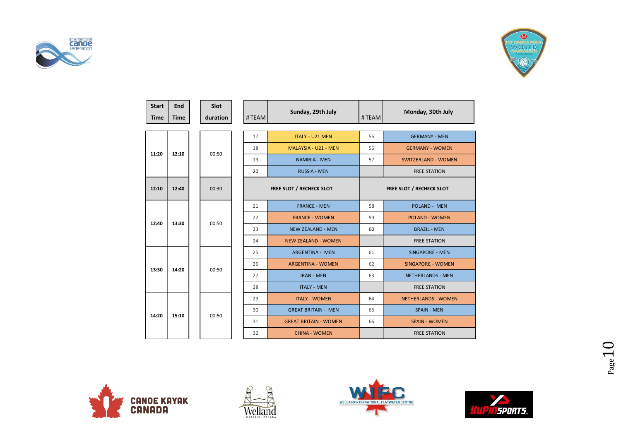



| <b>Start</b><br><b>Time</b> | End<br><b>Time</b> | Slot<br>duration | #TEAM | Sunday, 29th July            | #TEAM | Monday, 30th July          |  |  |  |
|-----------------------------|--------------------|------------------|-------|------------------------------|-------|----------------------------|--|--|--|
|                             |                    |                  |       |                              |       |                            |  |  |  |
|                             |                    |                  | 17    | <b>ITALY - U21 MEN</b>       | 55    | <b>GERMANY - MEN</b>       |  |  |  |
| 11:20                       | 12:10              | 00:50            | 18    | MALAYSIA - U21 - MEN         |       | <b>GERMANY - WOMEN</b>     |  |  |  |
|                             |                    |                  | 19    | <b>NAMIBIA - MEN</b>         |       | <b>SWITZERLAND - WOMEN</b> |  |  |  |
|                             |                    |                  | 20    | <b>RUSSIA - MEN</b>          |       | <b>FREE STATION</b>        |  |  |  |
| 12:10                       | 12:40              | 00:30            |       | FREE SLOT / RECHECK SLOT     |       | FREE SLOT / RECHECK SLOT   |  |  |  |
|                             | 13:30              |                  | 21    | <b>FRANCE - MEN</b>          | 58    | POLAND - MEN               |  |  |  |
| 12:40                       |                    | 00:50            | 22    | <b>FRANCE - WOMEN</b>        | 59    | <b>POLAND - WOMEN</b>      |  |  |  |
|                             |                    |                  | 23    | <b>NEW ZEALAND - MEN</b>     | 60    | <b>BRAZIL - MEN</b>        |  |  |  |
|                             |                    |                  | 24    | <b>NEW ZEALAND - WOMEN</b>   |       | <b>FREE STATION</b>        |  |  |  |
|                             |                    |                  | 25    | <b>ARGENTINA - MEN</b>       | 61    | <b>SINGAPORE - MEN</b>     |  |  |  |
| 13:30                       | 14:20              | 00:50            | 26    | <b>ARGENTINA - WOMEN</b>     | 62    | <b>SINGAPORE - WOMEN</b>   |  |  |  |
|                             |                    |                  | 27    | <b>IRAN - MEN</b>            | 63    | <b>NETHERLANDS - MEN</b>   |  |  |  |
|                             |                    |                  | 28    | <b>ITALY - MEN</b>           |       | <b>FREE STATION</b>        |  |  |  |
|                             |                    |                  | 29    | <b>ITALY - WOMEN</b>         | 64    | NETHERLANDS - WOMEN        |  |  |  |
| 14:20                       | 15:10              | 00:50            | 30    | <b>GREAT BRITAIN - MEN</b>   | 65    | <b>SPAIN - MEN</b>         |  |  |  |
|                             |                    |                  | 31    | <b>GREAT BRITAIN - WOMEN</b> | 66    | <b>SPAIN - WOMEN</b>       |  |  |  |
|                             |                    |                  | 32    | <b>CHINA - WOMEN</b>         |       | <b>FREE STATION</b>        |  |  |  |







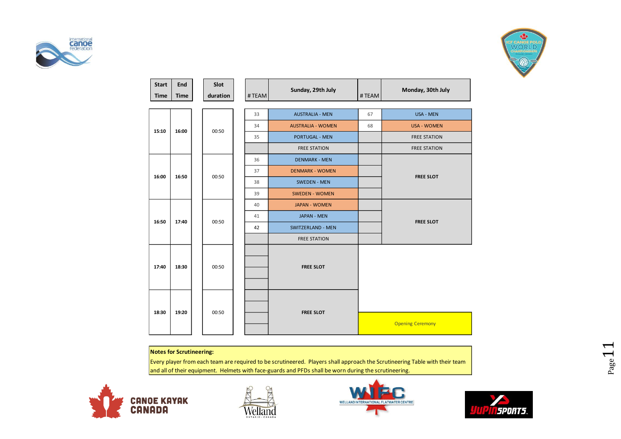



| <b>Start</b><br><b>Time</b> | End<br><b>Time</b> | Slot<br>duration | #TEAM | Sunday, 29th July        | #TEAM | Monday, 30th July       |
|-----------------------------|--------------------|------------------|-------|--------------------------|-------|-------------------------|
|                             |                    |                  | 33    | <b>AUSTRALIA - MEN</b>   | 67    | USA - MEN               |
| 15:10                       | 16:00              | 00:50            | 34    | <b>AUSTRALIA - WOMEN</b> | 68    | <b>USA - WOMEN</b>      |
|                             |                    |                  | 35    | PORTUGAL - MEN           |       | <b>FREE STATION</b>     |
|                             |                    |                  |       | <b>FREE STATION</b>      |       | <b>FREE STATION</b>     |
|                             |                    |                  | 36    | <b>DENMARK - MEN</b>     |       |                         |
| 16:00                       | 16:50              | 00:50            | 37    | <b>DENMARK - WOMEN</b>   |       |                         |
|                             |                    |                  | 38    | <b>SWEDEN - MEN</b>      |       | <b>FREE SLOT</b>        |
|                             |                    |                  | 39    | <b>SWEDEN - WOMEN</b>    |       |                         |
|                             |                    |                  | 40    | <b>JAPAN - WOMEN</b>     |       |                         |
| 16:50                       | 17:40              | 00:50            | 41    | <b>JAPAN - MEN</b>       |       | <b>FREE SLOT</b>        |
|                             |                    |                  | 42    | SWITZERLAND - MEN        |       |                         |
|                             |                    |                  |       | <b>FREE STATION</b>      |       |                         |
| 17:40                       | 18:30              | 00:50            |       | <b>FREE SLOT</b>         |       |                         |
| 18:30                       | 19:20              | 00:50            |       | <b>FREE SLOT</b>         |       | <b>Opening Ceremony</b> |

#### **Notes for Scrutineering:**

Every player from each team are required to be scrutineered. Players shall approach the Scrutineering Table with their team and all of their equipment. Helmets with face-guards and PFDs shall be worn during the scrutineering.







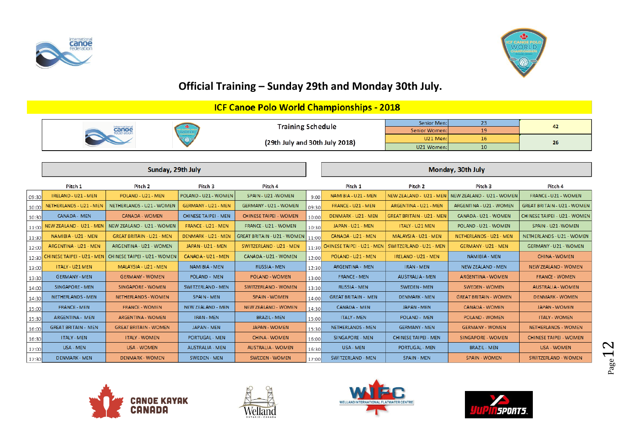



## **Official Training – Sunday 29th and Monday 30th July.**

## **ICF Canoe Polo World Championships - 2018**

|  | <b>Training Schedule</b>       |               |    |     |
|--|--------------------------------|---------------|----|-----|
|  |                                | Senior Women: | -- |     |
|  | (29th July and 30th July 2018) | U21 Men:      |    |     |
|  |                                | U21 Women:    | 10 | -46 |

|       |                            | Sunday, 29th July                   |                             |                                    |       | Monday, 30th July          |                                  |                                                   |                                     |  |
|-------|----------------------------|-------------------------------------|-----------------------------|------------------------------------|-------|----------------------------|----------------------------------|---------------------------------------------------|-------------------------------------|--|
|       | Pitch 1                    | Pitch <sub>2</sub>                  | Pitch 3                     | Pitch 4                            |       | Pitch 1                    | Pitch 2                          | Pitch <sub>3</sub>                                | Pitch 4                             |  |
| 09:30 | IRELAND - U21 - MEN        | POLAND - U21 - MEN                  | POLAND - U21 - WOMEN        | SPAIN - U21 - WOMEN                | 9:00  | NAMIBIA - U21 - MEN        |                                  | NEW ZEALAND - U21 - MEN NEW ZEALAND - U21 - WOMEN | FRANCE - U21 - WOMEN                |  |
| 10:00 | NETHERLANDS - U21 - MEN    | NETHERLANDS - U21 - WOMEN           | GERMANY - U21 - MEN         | <b>GERMANY - U21 - WOMEN</b>       | 09:30 | FRANCE - U21 - MEN         | ARGENTINA - U21 - MEN            | ARGENTINA - U21 - WOMEN                           | <b>GREAT BRITAIN - U21 - WOMEN</b>  |  |
| 10:30 | <b>CANADA - MEN</b>        | <b>CANADA - WOMEN</b>               | <b>CHINESE TAIPEI - MEN</b> | <b>CHINESE TAIPEI - WOMEN</b>      | 10:00 | DENMARK - U21 - MEN        | <b>GREAT BRITAIN - U21 - MEN</b> | CANADA - U21 - WOMEN                              | <b>CHINESE TAIPEI - U21 - WOMEN</b> |  |
| 11:00 | NEW ZEALAND - U21 - MEN    | NEW ZEALAND - U21 - WOMEN           | FRANCE - U21 - MEN          | FRANCE - U21 - WOMEN               | 10:30 | JAPAN - U21 - MEN          | <b>ITALY - U21 MEN</b>           | POLAND - U21 - WOMEN                              | SPAIN - U21 - WOMEN                 |  |
| 11:30 | NAMIBIA - U21 - MEN        | <b>GREAT BRITAIN - U21 - MEN</b>    | DENMARK - U21 - MEN         | <b>GREAT BRITAIN - U21 - WOMEN</b> | 11:00 | CANADA - U21 - MEN         | MALAYSIA - U21 - MEN             | NETHERLANDS - U21 - MEN                           | NETHERLANDS - U21 - WOMEN           |  |
| 12:00 | ARGENTINA - U21 - MEN      | ARGENTINA - U21 - WOMEN             | JAPAN - U21 - MEN           | SWITZERLAND - U21 - MEN            | 11:30 | CHINESE TAIPEI - U21 - MEN | SWITZERLAND - U21 - MEN          | GERMANY - U21 - MEN                               | GERMANY - U21 - WOMEN               |  |
| 12:30 | CHINESE TAIPEI - U21 - MEN | <b>CHINESE TAIPEI - U21 - WOMEN</b> | CANADA - U21 - MEN          | CANADA - U21 - WOMEN               | 12:00 | POLAND - U21 - MEN         | IRELAND - U21 - MEN              | NAMIBIA - MEN                                     | <b>CHINA - WOMEN</b>                |  |
| 13:00 | ITALY - U21 MEN            | MALAYSIA - U21 - MEN                | NAMIBIA - MEN               | <b>RUSSIA - MEN</b>                | 12:30 | <b>ARGENTINA - MEN</b>     | <b>IRAN - MEN</b>                | <b>NEW ZEALAND - MEN</b>                          | <b>NEW ZEALAND - WOMEN</b>          |  |
| 13:30 | <b>GERMANY - MEN</b>       | <b>GERMANY - WOMEN</b>              | <b>POLAND - MEN</b>         | <b>POLAND - WOMEN</b>              | 13:00 | <b>FRANCE - MEN</b>        | <b>AUSTRALIA - MEN</b>           | <b>ARGENTINA - WOMEN</b>                          | <b>FRANCE - WOMEN</b>               |  |
| 14:00 | <b>SINGAPORE - MEN</b>     | <b>SINGAPORE - WOMEN</b>            | <b>SWITZERLAND - MEN</b>    | <b>SWITZERLAND - WOMEN</b>         | 13:30 | <b>RUSSIA - MEN</b>        | <b>SWEDEN - MEN</b>              | <b>SWEDEN - WOMEN</b>                             | <b>AUSTRALIA - WOMEN</b>            |  |
| 14:30 | <b>NETHERLANDS - MEN</b>   | <b>NETHERLANDS - WOMEN</b>          | <b>SPAIN - MEN</b>          | <b>SPAIN - WOMEN</b>               | 14:00 | <b>GREAT BRITAIN - MEN</b> | <b>DENMARK - MEN</b>             | <b>GREAT BRITAIN - WOMEN</b>                      | <b>DENMARK - WOMEN</b>              |  |
| 15:00 | <b>FRANCE - MEN</b>        | <b>FRANCE - WOMEN</b>               | <b>NEW ZEALAND - MEN</b>    | <b>NEW ZEALAND - WOMEN</b>         | 14:30 | <b>CANADA - MEN</b>        | <b>JAPAN - MEN</b>               | <b>CANADA - WOMEN</b>                             | <b>JAPAN - WOMEN</b>                |  |
| 15:30 | <b>ARGENTINA - MEN</b>     | <b>ARGENTINA - WOMEN</b>            | <b>IRAN - MEN</b>           | <b>BRAZIL - MEN</b>                | 15:00 | <b>ITALY - MEN</b>         | <b>POLAND - MEN</b>              | POLAND - WOMEN                                    | <b>ITALY - WOMEN</b>                |  |
| 16:00 | <b>GREAT BRITAIN - MEN</b> | <b>GREAT BRITAIN - WOMEN</b>        | <b>JAPAN - MEN</b>          | <b>JAPAN - WOMEN</b>               | 15:30 | NETHERLANDS - MEN          | <b>GERMANY - MEN</b>             | <b>GERMANY - WOMEN</b>                            | <b>NETHERLANDS - WOMEN</b>          |  |
| 16:30 | <b>ITALY - MEN</b>         | <b>ITALY - WOMEN</b>                | <b>PORTUGAL - MEN</b>       | <b>CHINA - WOMEN</b>               | 16:00 | SINGAPORE - MEN            | <b>CHINESE TAIPEI - MEN</b>      | SINGAPORE - WOMEN                                 | <b>CHINESE TAIPEI - WOMEN</b>       |  |
| 17:00 | <b>USA - MEN</b>           | <b>USA - WOMEN</b>                  | <b>AUSTRALIA - MEN</b>      | <b>AUSTRALIA - WOMEN</b>           | 16:30 | <b>USA - MEN</b>           | PORTUGAL - MEN                   | <b>BRAZIL - MEN</b>                               | <b>USA - WOMEN</b>                  |  |
| 17:30 | <b>DENMARK - MEN</b>       | <b>DENMARK - WOMEN</b>              | <b>SWEDEN - MEN</b>         | <b>SWEDEN - WOMEN</b>              | 17:00 | SWITZERLAND - MEN          | <b>SPAIN - MEN</b>               | <b>SPAIN - WOMEN</b>                              | <b>SWITZERLAND - WOMEN</b>          |  |